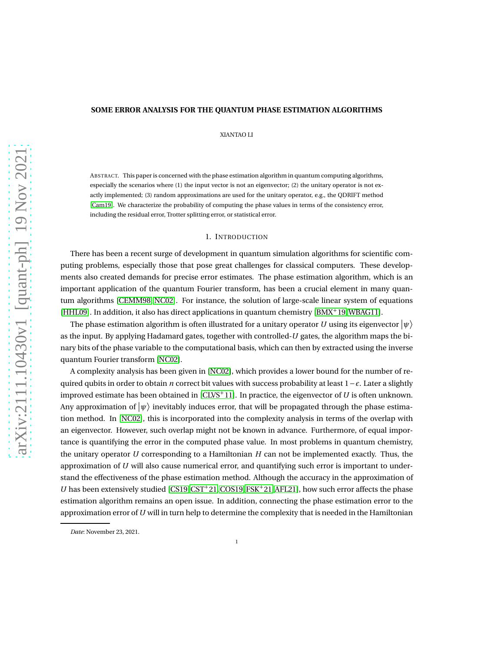# **SOME ERROR ANALYSIS FOR THE QUANTUM PHASE ESTIMATION ALGORITHMS**

XIANTAO LI

ABSTRACT. This paper is concerned with the phase estimation algorithm in quantum computing algorithms, especially the scenarios where (1) the input vector is not an eigenvector; (2) the unitary operator is not exactly implemented; (3) random approximations are used for the unitary operator, e.g., the QDRIFT method [\[Cam19\]](#page-10-0). We characterize the probability of computing the phase values in terms of the consistency error, including the residual error, Trotter splitting error, or statistical error.

# 1. INTRODUCTION

There has been a recent surge of development in quantum simulation algorithms for scientific computing problems, especially those that pose great challenges for classical computers. These developments also created demands for precise error estimates. The phase estimation algorithm, which is an important application of the quantum Fourier transform, has been a crucial element in many quantum algorithms [\[CEMM98,](#page-10-1) [NC02\]](#page-11-0). For instance, the solution of large-scale linear system of equations [\[HHL09\]](#page-11-1). In addition, it also has direct applications in quantum chemistry [\[BMX](#page-10-2)+19[,WBAG11\]](#page-11-2).

The phase estimation algorithm is often illustrated for a unitary operator  $U$  using its eigenvector  $\ket{\psi}$ as the input. By applying Hadamard gates, together with controlled-*U* gates, the algorithm maps the binary bits of the phase variable to the computational basis, which can then by extracted using the inverse quantum Fourier transform [\[NC02\]](#page-11-0).

A complexity analysis has been given in [\[NC02\]](#page-11-0), which provides a lower bound for the number of required qubits in order to obtain *n* correct bit values with success probability at least 1−*ǫ*. Later a slightly improved estimate has been obtained in  $|CLVS^+11|$ . In practice, the eigenvector of *U* is often unknown. Any approximation of  $\ket{\psi}$  inevitably induces error, that will be propagated through the phase estimation method. In [\[NC02\]](#page-11-0), this is incorporated into the complexity analysis in terms of the overlap with an eigenvector. However, such overlap might not be known in advance. Furthermore, of equal importance is quantifying the error in the computed phase value. In most problems in quantum chemistry, the unitary operator *U* corresponding to a Hamiltonian *H* can not be implemented exactly. Thus, the approximation of *U* will also cause numerical error, and quantifying such error is important to understand the effectiveness of the phase estimation method. Although the accuracy in the approximation of *U* has been extensively studied  $[CS19,CS1<sup>+</sup>21,COS19, FSK<sup>+</sup>21, AFL21]$  $[CS19,CS1<sup>+</sup>21,COS19, FSK<sup>+</sup>21, AFL21]$  $[CS19,CS1<sup>+</sup>21,COS19, FSK<sup>+</sup>21, AFL21]$  $[CS19,CS1<sup>+</sup>21,COS19, FSK<sup>+</sup>21, AFL21]$  $[CS19,CS1<sup>+</sup>21,COS19, FSK<sup>+</sup>21, AFL21]$ , how such error affects the phase estimation algorithm remains an open issue. In addition, connecting the phase estimation error to the approximation error of*U* will in turn help to determine the complexity that is needed in the Hamiltonian

*Date*: November 23, 2021.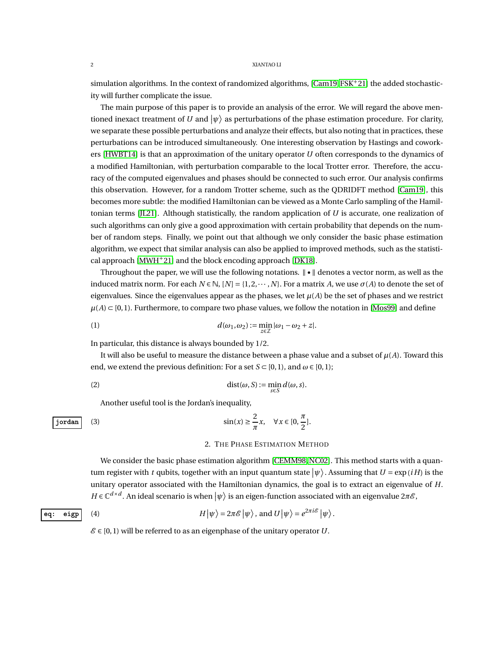simulation algorithms. In the context of randomized algorithms,  $[Cam19, FSK^+21]$  $[Cam19, FSK^+21]$  $[Cam19, FSK^+21]$  $[Cam19, FSK^+21]$  the added stochasticity will further complicate the issue.

The main purpose of this paper is to provide an analysis of the error. We will regard the above mentioned inexact treatment of  $U$  and  $\ket{\psi}$  as perturbations of the phase estimation procedure. For clarity, we separate these possible perturbations and analyze their effects, but also noting that in practices, these perturbations can be introduced simultaneously. One interesting observation by Hastings and coworkers [\[HWBT14\]](#page-11-5) is that an approximation of the unitary operator *U* often corresponds to the dynamics of a modified Hamiltonian, with perturbation comparable to the local Trotter error. Therefore, the accuracy of the computed eigenvalues and phases should be connected to such error. Our analysis confirms this observation. However, for a random Trotter scheme, such as the QDRIDFT method [\[Cam19\]](#page-10-0), this becomes more subtle: the modified Hamiltonian can be viewed as a Monte Carlo sampling of the Hamiltonian terms [\[JL21\]](#page-11-6). Although statistically, the random application of *U* is accurate, one realization of such algorithms can only give a good approximation with certain probability that depends on the number of random steps. Finally, we point out that although we only consider the basic phase estimation algorithm, we expect that similar analysis can also be applied to improved methods, such as the statistical approach  $[MWH<sup>+</sup>21]$  $[MWH<sup>+</sup>21]$  and the block encoding approach  $[DK18]$ .

Throughout the paper, we will use the following notations.  $\|\cdot\|$  denotes a vector norm, as well as the induced matrix norm. For each  $N \in \mathbb{N}$ ,  $[N] = \{1, 2, \dots, N\}$ . For a matrix *A*, we use  $\sigma(A)$  to denote the set of eigenvalues. Since the eigenvalues appear as the phases, we let  $\mu(A)$  be the set of phases and we restrict  $\mu(A) \subset [0,1)$ . Furthermore, to compare two phase values, we follow the notation in [\[Mos99\]](#page-11-9) and define

(1) 
$$
d(\omega_1, \omega_2) := \min_{z \in \mathbb{Z}} |\omega_1 - \omega_2 + z|.
$$

In particular, this distance is always bounded by 1/2.

It will also be useful to measure the distance between a phase value and a subset of *µ*(*A*). Toward this end, we extend the previous definition: For a set  $S \subset [0,1)$ , and  $\omega \in [0,1)$ ;

$$
dist(\omega, S) := \min_{s \in S} d(\omega, s).
$$

Another useful tool is the Jordan's inequality,

$$
\text{jordan} \quad (3) \quad \sin(x) \ge \frac{2}{\pi} x, \quad \forall x \in [0, \frac{\pi}{2}].
$$

# <span id="page-1-0"></span>2. THE PHASE ESTIMATION METHOD

We consider the basic phase estimation algorithm [\[CEMM98,](#page-10-1)[NC02\]](#page-11-0). This method starts with a quantum register with *t* qubits, together with an input quantum state  $|\psi\rangle$  . Assuming that  $U = \exp{(iH)}$  is the unitary operator associated with the Hamiltonian dynamics, the goal is to extract an eigenvalue of *H*.  $H \in \mathbb{C}^{d \times d}$ . An ideal scenario is when  $|\psi\rangle$  is an eigen-function associated with an eigenvalue 2*πE* ,

eq: **eigp** (4) 
$$
H|\psi\rangle = 2\pi \mathscr{E}|\psi\rangle, \text{ and } U|\psi\rangle = e^{2\pi i \mathscr{E}}|\psi\rangle.
$$

 $\mathcal{E} \in [0,1]$  will be referred to as an eigenphase of the unitary operator *U*.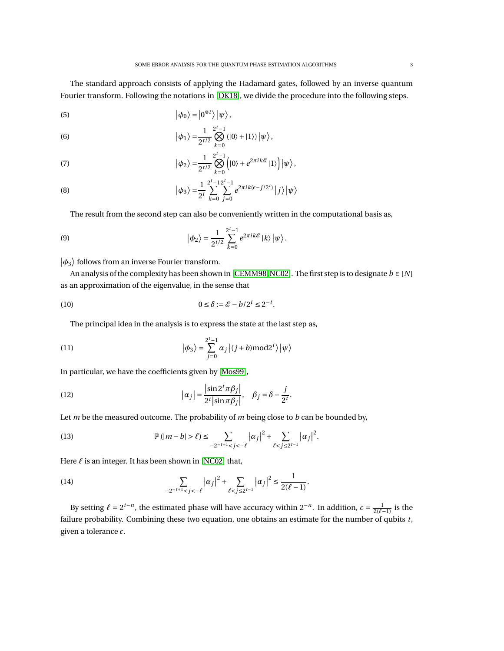The standard approach consists of applying the Hadamard gates, followed by an inverse quantum Fourier transform. Following the notations in [\[DK18\]](#page-11-8), we divide the procedure into the following steps.

(5) 
$$
|\phi_0\rangle = |0^{\otimes t}\rangle |\psi\rangle,
$$

(6) 
$$
|\phi_1\rangle = \frac{1}{2^{t/2}} \bigotimes_{k=0}^{2^t-1} (|0\rangle + |1\rangle) |\psi\rangle,
$$

(7) 
$$
|\phi_2\rangle = \frac{1}{2^{t/2}} \bigotimes_{k=0}^{2^t-1} \left( |0\rangle + e^{2\pi i k \mathscr{E}} |1\rangle \right) |\psi\rangle,
$$

(8) 
$$
|\phi_3\rangle = \frac{1}{2^t} \sum_{k=0}^{2^t-1} \sum_{j=0}^{2^t-1} e^{2\pi i k (\epsilon - j/2^t)} |j\rangle |\psi\rangle
$$

The result from the second step can also be conveniently written in the computational basis as,

(9) 
$$
\left|\phi_{2}\right\rangle = \frac{1}{2^{t/2}}\sum_{k=0}^{2^{t}-1}e^{2\pi i k\mathscr{E}}\left|k\right\rangle\left|\psi\right\rangle.
$$

# $\left\vert \phi_{3}\right\rangle$  follows from an inverse Fourier transform.

An analysis of the complexity has been shown in [\[CEMM98,](#page-10-1)[NC02\]](#page-11-0). The first step is to designate *b* ∈ [*N*] as an approximation of the eigenvalue, in the sense that

$$
(10) \t\t\t 0 \le \delta := \mathcal{E} - b/2^t \le 2^{-t}.
$$

The principal idea in the analysis is to express the state at the last step as,

(11) 
$$
|\phi_3\rangle = \sum_{j=0}^{2^t-1} \alpha_j |(j+b) \bmod 2^t\rangle |\psi\rangle
$$

In particular, we have the coefficients given by [\[Mos99\]](#page-11-9),

(12) 
$$
|\alpha_j| = \frac{\left|\sin 2^t \pi \beta_j\right|}{2^t |\sin \pi \beta_j|}, \quad \beta_j = \delta - \frac{j}{2^t}.
$$

Let *m* be the measured outcome. The probability of *m* being close to *b* can be bounded by,

(13) 
$$
\mathbb{P}(|m-b| > \ell) \leq \sum_{-2^{-t+1} < j < -\ell} |\alpha_j|^2 + \sum_{\ell < j \leq 2^{t-1}} |\alpha_j|^2.
$$

Here *ℓ* is an integer. It has been shown in [\[NC02\]](#page-11-0) that,

(14) 
$$
\sum_{-2^{-t+1} < j < -\ell} |\alpha_j|^2 + \sum_{\ell < j \le 2^{t-1}} |\alpha_j|^2 \le \frac{1}{2(\ell-1)}.
$$

By setting  $\ell = 2^{t-n}$ , the estimated phase will have accuracy within  $2^{-n}$ . In addition,  $\epsilon = \frac{1}{2(\ell-1)}$  is the failure probability. Combining these two equation, one obtains an estimate for the number of qubits *t*, given a tolerance *ǫ*.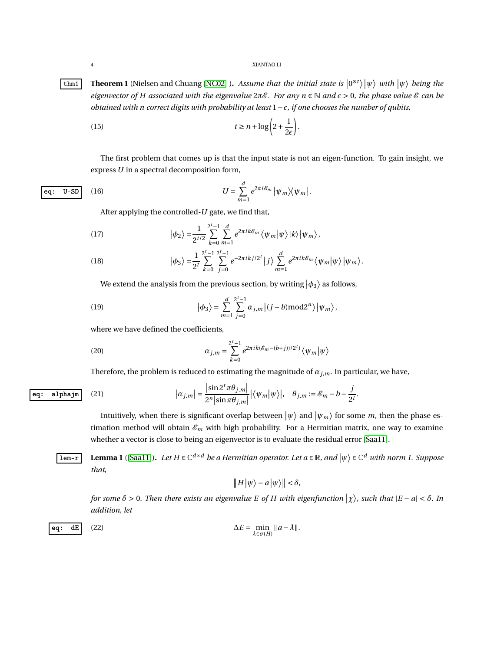<span id="page-3-2"></span>**Theorem 1** (Nielsen and Chuang [\[NC02\]](#page-11-0) ). Assume that the initial state is  $|0^{\otimes t}\rangle |\psi\rangle$  with  $|\psi\rangle$  being the *eigenvector of H associated with the eigenvalue*  $2\pi \mathcal{E}$ *. For any n*  $\in \mathbb{N}$  *and*  $\epsilon > 0$ *, the phase value*  $\mathcal{E}$  *can be obtained with n correct digits with probability at least* 1−*ǫ, if one chooses the number of qubits,*

(15) 
$$
t \geq n + \log \left(2 + \frac{1}{2\epsilon}\right).
$$

<span id="page-3-1"></span>The first problem that comes up is that the input state is not an eigen-function. To gain insight, we express *U* in a spectral decomposition form,

eq: U-SD (16) 
$$
U = \sum_{m=1}^{d} e^{2\pi i \mathcal{E}_m} |\psi_m\rangle\langle\psi_m|.
$$

After applying the controlled-*U* gate, we find that,

(17) 
$$
|\phi_2\rangle = \frac{1}{2^{t/2}} \sum_{k=0}^{2^t-1} \sum_{m=1}^d e^{2\pi i k \mathcal{E}_m} \langle \psi_m | \psi \rangle | k \rangle | \psi_m \rangle,
$$

(18) 
$$
|\phi_3\rangle = \frac{1}{2^t} \sum_{k=0}^{2^t-1} \sum_{j=0}^{2^t-1} e^{-2\pi i k j/2^t} |j\rangle \sum_{m=1}^d e^{2\pi i k \mathcal{E}_m} \langle \psi_m | \psi \rangle | \psi_m \rangle.
$$

We extend the analysis from the previous section, by writing  $|\phi_3\rangle$  as follows,

(19) 
$$
\left|\phi_{3}\right\rangle = \sum_{m=1}^{d}\sum_{j=0}^{2^{t}-1}\alpha_{j,m}\left|(j+b)\mathrm{mod}2^{n}\right\rangle\left|\psi_{m}\right\rangle,
$$

where we have defined the coefficients,

(20) 
$$
\alpha_{j,m} = \sum_{k=0}^{2^t-1} e^{2\pi i k (\mathcal{E}_m - (b+j))/2^t)} \langle \psi_m | \psi \rangle
$$

<span id="page-3-4"></span>Therefore, the problem is reduced to estimating the magnitude of  $\alpha_{j,m}$ . In particular, we have,

$$
\boxed{\mathbf{eq: } \quad \mathbf{alpha}\mathbf{jm} \quad (21) \qquad \qquad |\alpha_{j,m}| = \frac{|\sin 2^T \pi \theta_{j,m}|}{2^n |\sin \pi \theta_{j,m}|} |\langle \psi_m | \psi \rangle|, \quad \theta_{j,m} := \mathcal{E}_m - b - \frac{j}{2^t}.
$$

Intuitively, when there is significant overlap between  $|\psi\rangle$  and  $|\psi_m\rangle$  for some  $m$ , then the phase estimation method will obtain  $\mathcal{E}_m$  with high probability. For a Hermitian matrix, one way to examine whether a vector is close to being an eigenvector is to evaluate the residual error [\[Saa11\]](#page-11-10).

<span id="page-3-3"></span> $\boxed{\text{Lemma 1 (}[Saal1])}$ . Let  $H \in \mathbb{C}^{d \times d}$  be a Hermitian operator. Let  $a \in \mathbb{R}$ , and  $|\psi\rangle \in \mathbb{C}^d$  with norm 1. Suppose *that,*

<span id="page-3-0"></span>
$$
\big\|H\big|\psi\big>-a\big|\psi\big>\big\|<\delta,
$$

*for some*  $\delta > 0$ . Then there exists an eigenvalue E of H with eigenfunction  $|\chi\rangle$ , such that  $|E - a| < \delta$ . In *addition, let*

eq: 
$$
dE
$$
 (22) 
$$
\Delta E = \min_{\lambda \in \sigma(H)} ||a - \lambda||.
$$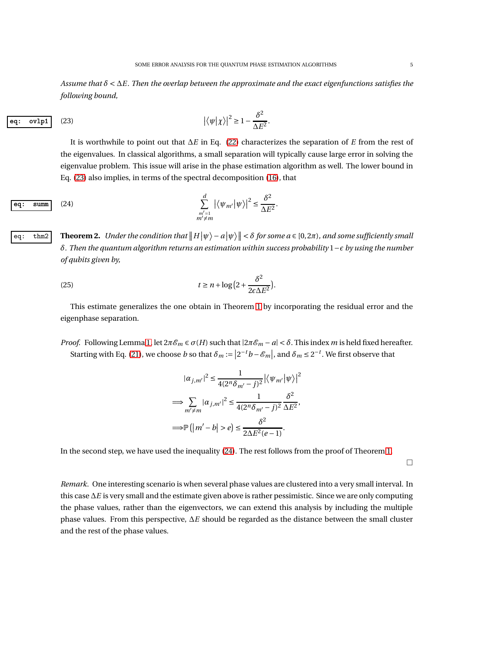*Assume that <sup>δ</sup>* <sup>&</sup>lt; <sup>∆</sup>*E*. *Then the overlap between the approximate and the exact eigenfunctions satisfies the following bound,*

<span id="page-4-1"></span><span id="page-4-0"></span>.

eq: 
$$
\text{ovlp1}
$$
 (23) 
$$
\left| \langle \psi | \chi \rangle \right|^2 \ge 1 - \frac{\delta^2}{\Delta E^2}
$$

It is worthwhile to point out that ∆*E* in Eq. [\(22\)](#page-3-0) characterizes the separation of *E* from the rest of the eigenvalues. In classical algorithms, a small separation will typically cause large error in solving the eigenvalue problem. This issue will arise in the phase estimation algorithm as well. The lower bound in Eq. [\(23\)](#page-4-0) also implies, in terms of the spectral decomposition [\(16\)](#page-3-1), that

eq: sum 
$$
\sum_{\substack{m'=1 \ m'\neq m}}^d |\langle \psi_{m'} | \psi \rangle|^2 \le \frac{\delta^2}{\Delta E^2}.
$$

*eq:* thm2 **Theorem 2.** Under the condition that  $||H|\psi\rangle - a|\psi\rangle || < \delta$  for some  $a \in [0, 2\pi)$ , and some sufficiently small *δ. Then the quantum algorithm returns an estimation within success probability* 1−*ǫ by using the number of qubits given by,*

(25) 
$$
t \ge n + \log\left(2 + \frac{\delta^2}{2\epsilon\Delta E^2}\right).
$$

This estimate generalizes the one obtain in Theorem [1](#page-3-2) by incorporating the residual error and the eigenphase separation.

*Proof.* Following Lemma [1,](#page-3-3) let  $2\pi \mathcal{E}_m \in \sigma(H)$  such that  $|2\pi \mathcal{E}_m - a| < \delta$ . This index *m* is held fixed hereafter. Starting with Eq. [\(21\)](#page-3-4), we choose *b* so that  $\delta_m := |2^{-t}b - \mathcal{E}_m|$ , and  $\delta_m \leq 2^{-t}$ . We first observe that

$$
|\alpha_{j,m'}|^2 \le \frac{1}{4(2^n \delta_{m'} - j)^2} |\langle \psi_{m'} | \psi \rangle|^2
$$
  
\n
$$
\implies \sum_{m' \ne m} |\alpha_{j,m'}|^2 \le \frac{1}{4(2^n \delta_{m'} - j)^2} \frac{\delta^2}{\Delta E^2},
$$
  
\n
$$
\implies \mathbb{P}(|m' - b| > e) \le \frac{\delta^2}{2\Delta E^2(e - 1)}.
$$

In the second step, we have used the inequality [\(24\)](#page-4-1). The rest follows from the proof of Theorem [1.](#page-3-2)

 $\Box$ 

*Remark.* One interesting scenario is when several phase values are clustered into a very small interval. In this case ∆*E* is very small and the estimate given above is rather pessimistic. Since we are only computing the phase values, rather than the eigenvectors, we can extend this analysis by including the multiple phase values. From this perspective, ∆*E* should be regarded as the distance between the small cluster and the rest of the phase values.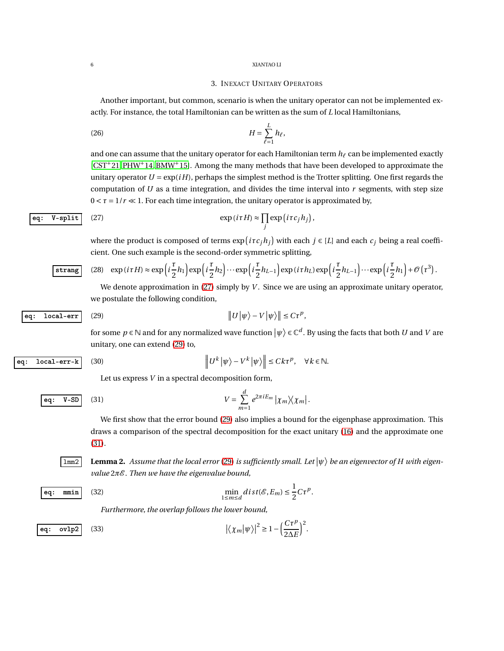## 3. INEXACT UNITARY OPERATORS

Another important, but common, scenario is when the unitary operator can not be implemented exactly. For instance, the total Hamiltonian can be written as the sum of *L* local Hamiltonians,

$$
(26)\qquad H = \sum_{\ell=1}^{L} h_{\ell},
$$

and one can assume that the unitary operator for each Hamiltonian term *h<sup>ℓ</sup>* can be implemented exactly [\[CST](#page-11-3)+21, [PHW](#page-11-11)+14[, BMW](#page-10-7)+15]. Among the many methods that have been developed to approximate the unitary operator  $U = \exp(iH)$ , perhaps the simplest method is the Trotter splitting. One first regards the computation of *U* as a time integration, and divides the time interval into *r* segments, with step size  $0 < \tau = 1/r \ll 1$ . For each time integration, the unitary operator is approximated by,

eq: V-split (27) 
$$
\exp(i\tau H) \approx \prod_j \exp(i\tau c_j h_j)
$$

where the product is composed of terms  $\exp( i\tau c_j h_j )$  with each  $j \in [L]$  and each  $c_j$  being a real coefficient. One such example is the second-order symmetric splitting,

<span id="page-5-0"></span>,

$$
\boxed{\text{strang}} \quad (28) \quad \exp(i \tau H) \approx \exp\left(i \frac{\tau}{2} h_1\right) \exp\left(i \frac{\tau}{2} h_2\right) \cdots \exp\left(i \frac{\tau}{2} h_{L-1}\right) \exp(i \tau h_L) \exp\left(i \frac{\tau}{2} h_{L-1}\right) \cdots \exp\left(i \frac{\tau}{2} h_1\right) + \mathcal{O}\left(\tau^3\right).
$$

<span id="page-5-6"></span>We denote approximation in [\(27\)](#page-5-0) simply by *V*. Since we are using an approximate unitary operator, we postulate the following condition,

eq: local-err (29) 
$$
||U|\psi\rangle - V|\psi\rangle|| \leq C\tau^p,
$$

for some  $p \in \mathbb{N}$  and for any normalized wave function  $\ket{\psi} \in \mathbb{C}^d$ . By using the facts that both  $U$  and  $V$  are unitary, one can extend [\(29\)](#page-5-1) to,

$$
\fbox{eq: local-err-k}
$$

<span id="page-5-5"></span><span id="page-5-1"></span>
$$
\left\|U^k\left|\psi\right\rangle-V^k\left|\psi\right\rangle\right\|\le Ck\tau^p,\quad \forall\,k\in\mathbb{N}.
$$

 $V = \sum^d$ 

Let us express *V* in a spectral decomposition form,

eq: V-SD (31) 
$$
V = \sum_{m=1}^{\infty} e^{2\pi i E_m} |\chi_m\rangle\langle\chi_m|.
$$

 $(30)$ 

<span id="page-5-2"></span>*m*=1 We first show that the error bound [\(29\)](#page-5-1) also implies a bound for the eigenphase approximation. This draws a comparison of the spectral decomposition for the exact unitary [\(16\)](#page-3-1) and the approximate one [\(31\)](#page-5-2).

 $\overline{1mm2}$  **Lemma 2.** Assume that the local error [\(29\)](#page-5-1) is sufficiently small. Let  $|\psi\rangle$  be an eigenvector of H with eigen*value* 2*π*E . *Then we have the eigenvalue bound,*

$$
eq: \min | (32) \quad \min
$$

<span id="page-5-4"></span><span id="page-5-3"></span>
$$
\min_{1 \le m \le d} dist(\mathcal{E}, E_m) \le \frac{1}{2} C \tau^p.
$$

.

*Furthermore, the overlap follows the lower bound,*

eq: 
$$
\text{ovlp2}
$$
 (33) 
$$
\left| \langle \chi_m | \psi \rangle \right|^2 \ge 1 - \left( \frac{C \tau^p}{2 \Delta E} \right)^2
$$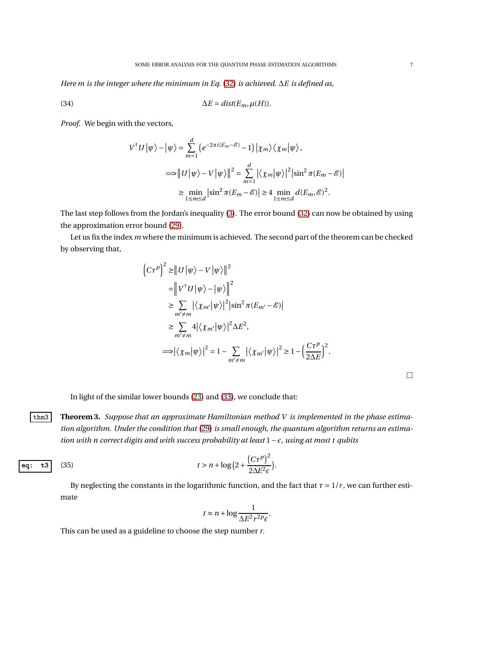*Here m is the integer where the minimum in Eq.* [\(32\)](#page-5-3) *is achieved.* ∆*E is defined as,*

(34) 
$$
\Delta E = \text{dist}(E_m, \mu(H)).
$$

*Proof.* We begin with the vectors,

$$
V^{\dagger}U|\psi\rangle - |\psi\rangle = \sum_{m=1}^{d} (e^{-2\pi i(E_m - \mathcal{E})} - 1) |\chi_m\rangle \langle \chi_m|\psi\rangle,
$$
  
\n
$$
\implies ||U|\psi\rangle - V|\psi\rangle||^2 = \sum_{m=1}^{d} |\langle \chi_m|\psi\rangle|^2 |\sin^2 \pi (E_m - \mathcal{E})|
$$
  
\n
$$
\geq \min_{1 \leq m \leq d} |\sin^2 \pi (E_m - \mathcal{E})| \geq 4 \min_{1 \leq m \leq d} d(E_m, \mathcal{E})^2.
$$

The last step follows from the Jordan's inequality [\(3\)](#page-1-0). The error bound [\(32\)](#page-5-3) can now be obtained by using the approximation error bound [\(29\)](#page-5-1).

Let us fix the index *m* where the minimum is achieved. The second part of the theorem can be checked by observing that,

$$
\begin{split}\n\left(C\tau^{p}\right)^{2} &\geq \left\|U\left|\psi\right\rangle - V\left|\psi\right\rangle\right\|^{2} \\
&= \left\|V^{\dagger}U\left|\psi\right\rangle - \left|\psi\right\rangle\right\|^{2} \\
&\geq \sum_{m'\neq m} \left|\left\langle\chi_{m'}\left|\psi\right\rangle\right|^{2} \left|\sin^{2}\pi(E_{m'} - \mathcal{E})\right| \\
&\geq \sum_{m'\neq m} 4\left|\left\langle\chi_{m'}\left|\psi\right\rangle\right|^{2} \Delta E^{2}, \\
&\Longrightarrow \left|\left\langle\chi_{m}\left|\psi\right\rangle\right|^{2} = 1 - \sum_{m'\neq m} \left|\left\langle\chi_{m'}\left|\psi\right\rangle\right|^{2} \geq 1 - \left(\frac{C\tau^{p}}{2\Delta E}\right)^{2}.\n\end{split}
$$

 $\Box$ 

In light of the similar lower bounds [\(23\)](#page-4-0) and [\(33\)](#page-5-4), we conclude that:

thm3 **Theorem 3.** *Suppose that an approximate Hamiltonian method V is implemented in the phase estimation algorithm. Under the condition that* [\(29\)](#page-5-1) *is small enough, the quantum algorithm returns an estimation with n correct digits and with success probability at least* 1−*ǫ, using at most t qubits*

eq: t3 (35) 
$$
t > n + \log(2 + \frac{(C\tau^p)^2}{2\Delta E^2 \epsilon}).
$$

By neglecting the constants in the logarithmic function, and the fact that  $\tau = 1/r$ , we can further estimate

<span id="page-6-0"></span>
$$
t \approx n + \log \frac{1}{\Delta E^2 r^2 P \epsilon}.
$$

This can be used as a guideline to choose the step number *r*.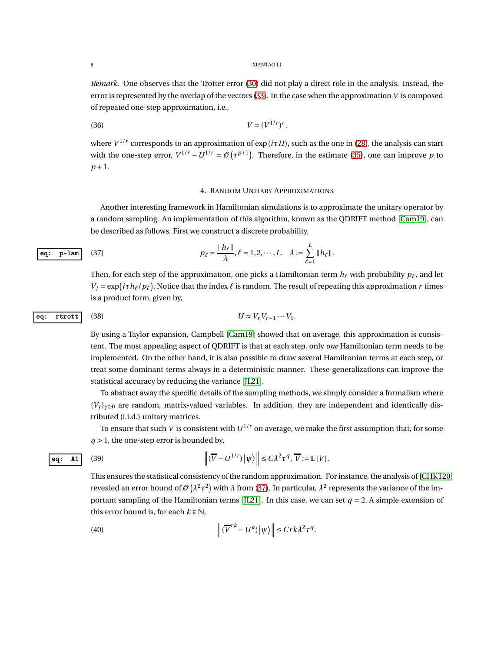*Remark.* One observes that the Trotter error [\(30\)](#page-5-5) did not play a direct role in the analysis. Instead, the error is represented by the overlap of the vectors [\(33\)](#page-5-4). In the case when the approximation *V* is composed of repeated one-step approximation, i.e.,

$$
(36) \t\t V = (V^{1/r})^r,
$$

where  $V^{1/r}$  corresponds to an approximation of exp ( $i\tau H$ ), such as the one in [\(28\)](#page-5-6), the analysis can start with the one-step error,  $V^{1/r} - U^{1/r} = \mathcal{O}(\tau^{p+1})$ . Therefore, in the estimate [\(35\)](#page-6-0), one can improve *p* to *p* +1.

# <span id="page-7-1"></span><span id="page-7-0"></span>4. RANDOM UNITARY APPROXIMATIONS

Another interesting framework in Hamiltonian simulations is to approximate the unitary operator by a random sampling. An implementation of this algorithm, known as the QDRIFT method [\[Cam19\]](#page-10-0), can be described as follows. First we construct a discrete probability,

$$
\boxed{\mathbf{eq: p-lam}} \quad (37) \qquad p_{\ell} = \frac{\|h_{\ell}\|}{\lambda}, \ell = 1, 2, \cdots, L. \quad \lambda := \sum_{\ell=1}^{L} \|h_{\ell}\|.
$$

Then, for each step of the approximation, one picks a Hamiltonian term  $h_\ell$  with probability  $p_\ell$ , and let  $V_j = \exp(i \tau h_\ell / p_\ell)$ . Notice that the index  $\ell$  is random. The result of repeating this approximation *r* times is a product form, given by,

eq: **rtrott** (38) 
$$
U \approx V_r V_{r-1} \cdots V_1.
$$

By using a Taylor expansion, Campbell [\[Cam19\]](#page-10-0) showed that on average, this approximation is consistent. The most appealing aspect of QDRIFT is that at each step, only *one* Hamiltonian term needs to be implemented. On the other hand, it is also possible to draw several Hamiltonian terms at each step, or treat some dominant terms always in a deterministic manner. These generalizations can improve the statistical accuracy by reducing the variance [\[JL21\]](#page-11-6).

To abstract away the specific details of the sampling methods, we simply consider a formalism where  ${V_Y}_{Y\geq 0}$  are random, matrix-valued variables. In addition, they are independent and identically distributed (i.i.d.) unitary matrices.

To ensure that such *V* is consistent with  $U^{1/r}$  on average, we make the first assumption that, for some  $q > 1$ , the one-step error is bounded by,

eq: A1 (39) 
$$
\left\| (\overline{V} - U^{1/r}) \left| \psi \right\rangle \right\| \leq C \lambda^2 \tau^q, \, \overline{V} := \mathbb{E}[V].
$$

This ensures the statistical consistency of the random approximation. For instance, the analysis of [\[CHKT20\]](#page-10-8) revealed an error bound of  $\mathcal{O}(\lambda^2 \tau^2)$  with  $\lambda$  from [\(37\)](#page-7-0). In particular,  $\lambda^2$  represents the variance of the im-portant sampling of the Hamiltonian terms [\[JL21\]](#page-11-6). In this case, we can set  $q = 2$ . A simple extension of this error bound is, for each  $k \in \mathbb{N}$ ,

(40) 
$$
\left\|(\overline{V}^{rk} - U^k)\left|\psi\right\rangle\right\| \le Crk\lambda^2\tau^q.
$$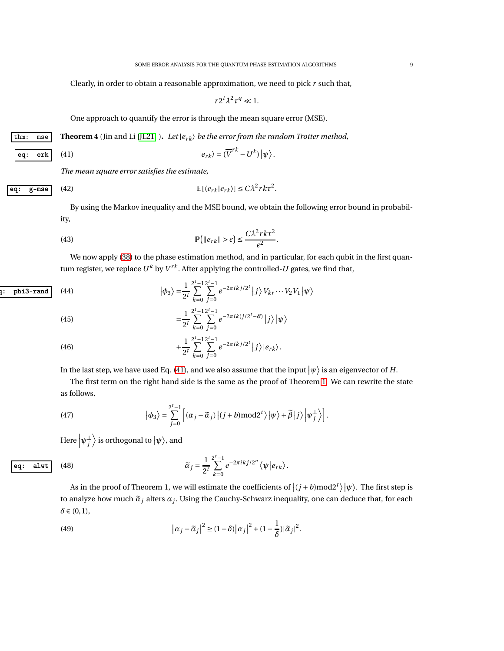Clearly, in order to obtain a reasonable approximation, we need to pick *r* such that,

<span id="page-8-1"></span><span id="page-8-0"></span>
$$
r2^t\lambda^2\tau^q\ll 1.
$$

One approach to quantify the error is through the mean square error (MSE).

thm: mse **Theorem 4** (Jin and Li [\[JL21\]](#page-11-6) ). Let  $|e_{rk}\rangle$  be the error from the random Trotter method,

eq: **erk** (41) 
$$
|e_{rk}\rangle = (\overline{V}^{rk} - U^k)|\psi\rangle
$$
.

*The mean square error satisfies the estimate,*

eq: g-mse (42) 
$$
\mathbb{E}[\langle e_{rk}|e_{rk}\rangle] \leq C\lambda^2 rk\tau^2.
$$

By using the Markov inequality and the MSE bound, we obtain the following error bound in probability,

(43) 
$$
\mathbb{P}\big(\|e_{rk}\| > \epsilon\big) \leq \frac{C\lambda^2 rk\tau^2}{\epsilon^2}.
$$

We now apply [\(38\)](#page-7-1) to the phase estimation method, and in particular, for each qubit in the first quantum register, we replace  $U^k$  by  $V^{rk}.$  After applying the controlled- $U$  gates, we find that,

$$
\text{q}: \quad \text{phi3} = \frac{1}{2^t} \sum_{k=0}^{2^t - 1} \sum_{j=0}^{2^t - 1} e^{-2\pi i k j/2^t} \, |j\rangle V_{kr} \cdots V_2 V_1 \, | \psi \rangle
$$

<span id="page-8-2"></span>(45) 
$$
= \frac{1}{2^t} \sum_{k=0}^{2^t-1} \sum_{j=0}^{2^t-1} e^{-2\pi i k (j/2^t - \mathscr{E})} |j\rangle |\psi\rangle
$$

(46) 
$$
+\frac{1}{2^t}\sum_{k=0}^{2^t-1}\sum_{j=0}^{2^t-1}e^{-2\pi ikj/2^t}|j\rangle|e_{rk}\rangle.
$$

In the last step, we have used Eq. [\(41\)](#page-8-0), and we also assume that the input  $\ket{\psi}$  is an eigenvector of  $H$ .

The first term on the right hand side is the same as the proof of Theorem [1.](#page-3-2) We can rewrite the state as follows,

(47) 
$$
\left|\phi_{3}\right\rangle = \sum_{j=0}^{2^{t}-1} \left[ (\alpha_{j} - \widetilde{\alpha}_{j}) \left| (j+b) \operatorname{mod} 2^{t} \right\rangle \left| \psi \right\rangle + \widetilde{\beta} \left| j \right\rangle \left| \psi_{j}^{\perp} \right\rangle \right].
$$

Here  $\left|\psi_{j}^{\perp}\right|$  $\Big\rangle$  is orthogonal to  $|\psi\rangle$ , and

eq: **alwt** (48) 
$$
\widetilde{\alpha}_j = \frac{1}{2^t} \sum_{k=0}^{2^t-1} e^{-2\pi i k j/2^n} \langle \psi | e_{rk} \rangle.
$$

<span id="page-8-3"></span>As in the proof of Theorem 1, we will estimate the coefficients of  $|(j + b) \text{mod} 2^t \rangle | \psi \rangle$ . The first step is to analyze how much  $\widetilde{\alpha}_j$  alters  $\alpha_j.$  Using the Cauchy-Schwarz inequality, one can deduce that, for each *δ* ∈ (0,1),

(49) 
$$
\left|\alpha_j - \widetilde{\alpha}_j\right|^2 \geq (1-\delta) \left|\alpha_j\right|^2 + (1-\frac{1}{\delta}) |\widetilde{\alpha}_j|^2.
$$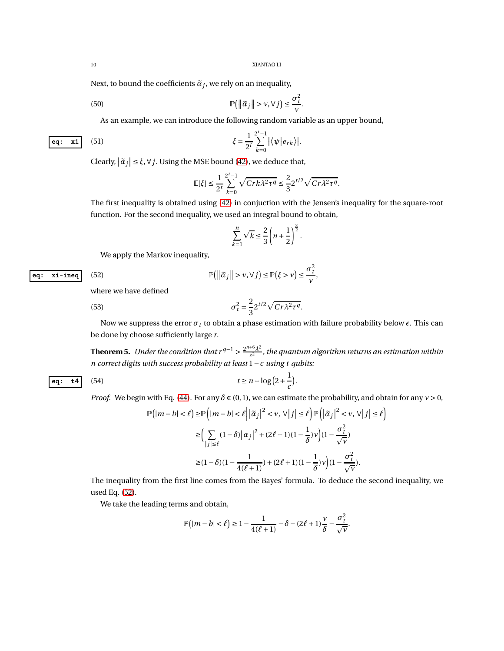.

 $\sigma_t^2$ *ν* ,

Next, to bound the coefficients  $\widetilde{\alpha}_j$ , we rely on an inequality,

(50) 
$$
\mathbb{P}(\|\tilde{\alpha}_j\| > \nu, \forall j) \leq \frac{\sigma_t^2}{\nu}
$$

As an example, we can introduce the following random variable as an upper bound,

$$
\xi = \frac{1}{2^t} \sum_{k=0}^{2^t - 1} \left| \langle \psi | e_{rk} \rangle \right|.
$$

Clearly,  $|\tilde{a}_j| \leq \xi$ ,  $\forall j$ . Using the MSE bound [\(42\)](#page-8-1), we deduce that,

<span id="page-9-1"></span>
$$
\mathbb{E}[\xi] \le \frac{1}{2^t} \sum_{k=0}^{2^t - 1} \sqrt{Crk\lambda^2 \tau^q} \le \frac{2}{3} 2^{t/2} \sqrt{Cr\lambda^2 \tau^q}.
$$

The first inequality is obtained using [\(42\)](#page-8-1) in conjuction with the Jensen's inequality for the square-root function. For the second inequality, we used an integral bound to obtain,

$$
\sum_{k=1}^n \sqrt{k} \le \frac{2}{3} \left( n + \frac{1}{2} \right)^{\frac{3}{2}}.
$$

We apply the Markov inequality,

<span id="page-9-0"></span>
$$
\mathbb{P}\big(\big\|\widetilde{\alpha}_j\big\| > \nu, \forall j\big) \le \mathbb{P}\big(\xi > \nu\big) \le
$$

where we have defined

(53) 
$$
\sigma_t^2 = \frac{2}{3} 2^{t/2} \sqrt{C r \lambda^2 \tau^q}.
$$

Now we suppress the error  $\sigma_t$  to obtain a phase estimation with failure probability below  $\epsilon$ . This can be done by choose sufficiently large *r*.

**Theorem 5.** *Under the condition that*  $r^{q-1} > \frac{2^{n+6}\lambda^2}{\epsilon^2}$  $\frac{1}{\epsilon^2}$ , the quantum algorithm returns an estimation within *n correct digits with success probability at least* 1−*ǫ using t qubits:*

eq:  $xi$ -ineq  $(52)$ 

eq: 
$$
\mathbf{t4}
$$
 (54)  $t \ge n + \log(2 + \frac{1}{\epsilon}).$ 

*Proof.* We begin with Eq. [\(44\)](#page-8-2). For any  $\delta \in (0,1)$ , we can estimate the probability, and obtain for any  $v > 0$ ,

$$
\mathbb{P}\Big(|m-b|<\ell\Big)\geq \mathbb{P}\Big(|m-b|<\ell\Big|\Big|\widetilde{\alpha}_j\Big|^2<\nu,\,\forall\,\big|\,j\big|\leq \ell\Big)\mathbb{P}\Big(\Big|\widetilde{\alpha}_j\Big|^2<\nu,\,\forall\,\big|\,j\big|\leq \ell\Big)\\ \geq \Big(\sum_{\vert j\vert\leq \ell}(1-\delta)\Big|\alpha_j\Big|^2+(2\ell+1)(1-\frac{1}{\delta})\nu\Big)(1-\frac{\sigma_t^2}{\sqrt{\nu}})\\ \geq (1-\delta)(1-\frac{1}{4(\ell+1)})+(2\ell+1)(1-\frac{1}{\delta})\nu\Big)(1-\frac{\sigma_t^2}{\sqrt{\nu}}).
$$

The inequality from the first line comes from the Bayes' formula. To deduce the second inequality, we used Eq. [\(52\)](#page-9-0).

We take the leading terms and obtain,

$$
\mathbb{P}\left(|m-b|<\ell\right)\geq 1-\frac{1}{4(\ell+1)}-\delta-(2\ell+1)\frac{\nu}{\delta}-\frac{\sigma_t^2}{\sqrt{\nu}}.
$$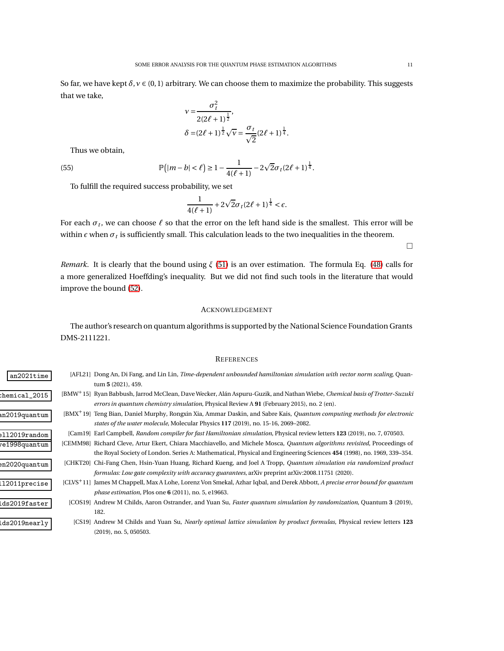So far, we have kept  $\delta$ ,  $v \in (0,1)$  arbitrary. We can choose them to maximize the probability. This suggests that we take,

$$
\nu = \frac{\sigma_t^2}{2(2\ell + 1)^{\frac{1}{2}}},
$$
  

$$
\delta = (2\ell + 1)^{\frac{1}{2}}\sqrt{\nu} = \frac{\sigma_t}{\sqrt{2}}(2\ell + 1)^{\frac{1}{4}}.
$$

Thus we obtain,

 $(55)$ 

$$
\mathbb{P}(|m-b|<\ell) \geq 1 - \frac{1}{4(\ell+1)} - 2\sqrt{2}\sigma_t(2\ell+1)^{\frac{1}{4}}.
$$

To fulfill the required success probability, we set

$$
\frac{1}{4(\ell+1)} + 2\sqrt{2}\sigma_t(2\ell+1)^{\frac{1}{4}} < \epsilon.
$$

For each *σ<sup>t</sup>* , we can choose *ℓ* so that the error on the left hand side is the smallest. This error will be within  $\epsilon$  when  $\sigma_t$  is sufficiently small. This calculation leads to the two inequalities in the theorem.

*Remark.* It is clearly that the bound using *ξ* [\(51\)](#page-9-1) is an over estimation. The formula Eq. [\(48\)](#page-8-3) calls for a more generalized Hoeffding's inequality. But we did not find such tools in the literature that would improve the bound [\(52\)](#page-9-0).

# ACKNOWLEDGEMENT

<span id="page-10-6"></span>The author's research on quantum algorithms is supported by the National Science Foundation Grants DMS-2111221.

# **REFERENCES**

- <span id="page-10-8"></span><span id="page-10-7"></span><span id="page-10-5"></span><span id="page-10-4"></span><span id="page-10-3"></span><span id="page-10-2"></span><span id="page-10-1"></span><span id="page-10-0"></span>an2021time [AFL21] Dong An, Di Fang, and Lin Lin, *Time-dependent unbounded hamiltonian simulation with vector norm scaling*, Quantum **5** (2021), 459.
- [BMW+ babbush\_chemical\_2015 15] Ryan Babbush, Jarrod McClean, Dave Wecker, Alán Aspuru-Guzik, and Nathan Wiebe, *Chemical basis of Trotter-Suzuki errors in quantum chemistry simulation*, Physical Review A **91** (February 2015), no. 2 (en).
	- [BMX+ bian2019quantum 19] Teng Bian, Daniel Murphy, Rongxin Xia, Ammar Daskin, and Sabre Kais, *Quantum computing methods for electronic states of the water molecule*, Molecular Physics **117** (2019), no. 15-16, 2069–2082.
		- campbell2019random [Cam19] Earl Campbell, *Random compiler for fast Hamiltonian simulation*, Physical review letters **123** (2019), no. 7, 070503.
		- cleve1998quantum [CEMM98] Richard Cleve, Artur Ekert, Chiara Macchiavello, and Michele Mosca, *Quantum algorithms revisited*, Proceedings of the Royal Society of London. Series A: Mathematical, Physical and Engineering Sciences **454** (1998), no. 1969, 339–354.
		- chen2020quantum [CHKT20] Chi-Fang Chen, Hsin-Yuan Huang, Richard Kueng, and Joel A Tropp, *Quantum simulation via randomized product formulas: Low gate complexity with accuracy guarantees*, arXiv preprint arXiv:2008.11751 (2020).
	- [CLVS+ chappell2011precise 11] James M Chappell, Max A Lohe, Lorenz Von Smekal, Azhar Iqbal, and Derek Abbott, *A precise error bound for quantum phase estimation*, Plos one **6** (2011), no. 5, e19663.
		- childs2019faster [COS19] Andrew M Childs, Aaron Ostrander, and Yuan Su, *Faster quantum simulation by randomization*, Quantum **3** (2019), 182.
		- childs2019nearly [CS19] Andrew M Childs and Yuan Su, *Nearly optimal lattice simulation by product formulas*, Physical review letters **123** (2019), no. 5, 050503.

 $\Box$